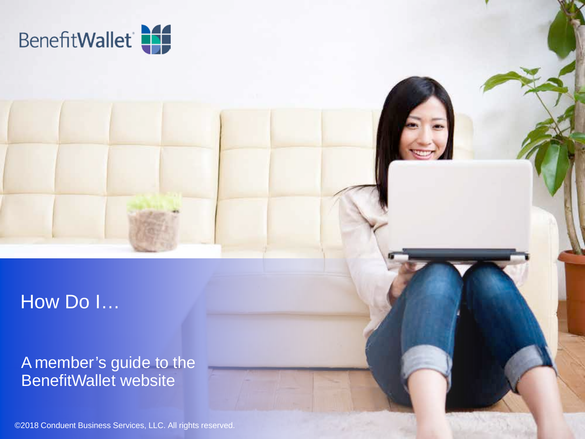

## How Do I…

#### A member's guide to the BenefitWallet website 1

©2018 Conduent Business Services, LLC. All rights reserved.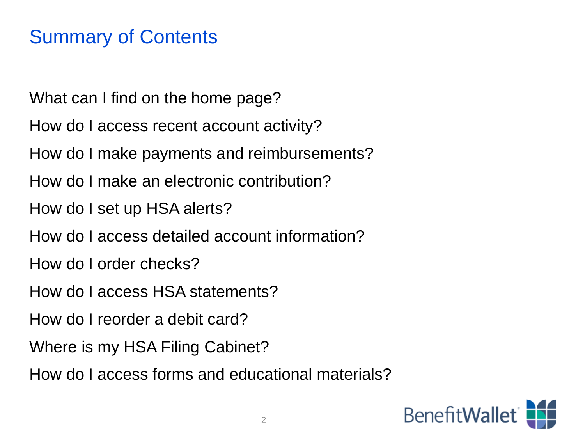### Summary of Contents

What can I find on the home page?

How do I access recent account activity?

How do I make payments and reimbursements?

How do I make an electronic contribution?

How do I set up HSA alerts?

How do I access detailed account information?

How do I order checks?

How do I access HSA statements?

How do I reorder a debit card?

Where is my HSA Filing Cabinet?

How do I access forms and educational materials?

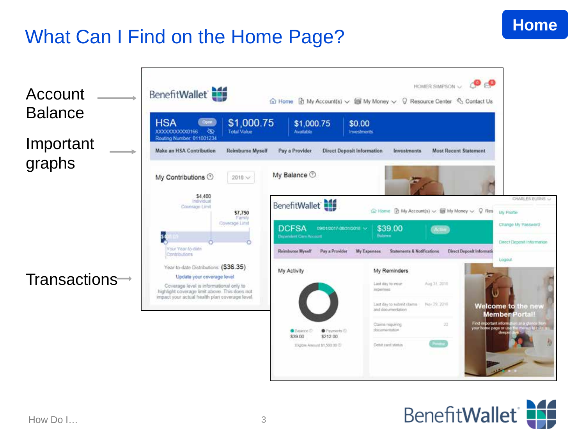# What Can I Find on the Home Page?



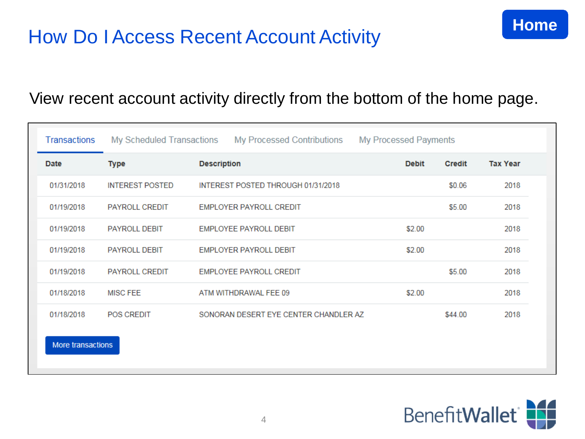#### View recent account activity directly from the bottom of the home page.

| <b>Transactions</b> | My Scheduled Transactions | <b>My Processed Contributions</b>     | My Processed Payments |               |                 |  |
|---------------------|---------------------------|---------------------------------------|-----------------------|---------------|-----------------|--|
| Date                | Type                      | <b>Description</b>                    | <b>Debit</b>          | <b>Credit</b> | <b>Tax Year</b> |  |
| 01/31/2018          | <b>INTEREST POSTED</b>    | INTEREST POSTED THROUGH 01/31/2018    |                       | \$0.06        | 2018            |  |
| 01/19/2018          | <b>PAYROLL CREDIT</b>     | <b>EMPLOYER PAYROLL CREDIT</b>        |                       | \$5.00        | 2018            |  |
| 01/19/2018          | <b>PAYROLL DEBIT</b>      | <b>EMPLOYEE PAYROLL DEBIT</b>         | \$2.00                |               | 2018            |  |
| 01/19/2018          | <b>PAYROLL DEBIT</b>      | <b>EMPLOYER PAYROLL DEBIT</b>         | \$2.00                |               | 2018            |  |
| 01/19/2018          | PAYROLL CREDIT            | <b>EMPLOYEE PAYROLL CREDIT</b>        |                       | \$5.00        | 2018            |  |
| 01/18/2018          | <b>MISC FEE</b>           | ATM WITHDRAWAL FEE 09                 | \$2.00                |               | 2018            |  |
| 01/18/2018          | <b>POS CREDIT</b>         | SONORAN DESERT EYE CENTER CHANDLER AZ |                       | \$44.00       | 2018            |  |
| More transactions   |                           |                                       |                       |               |                 |  |

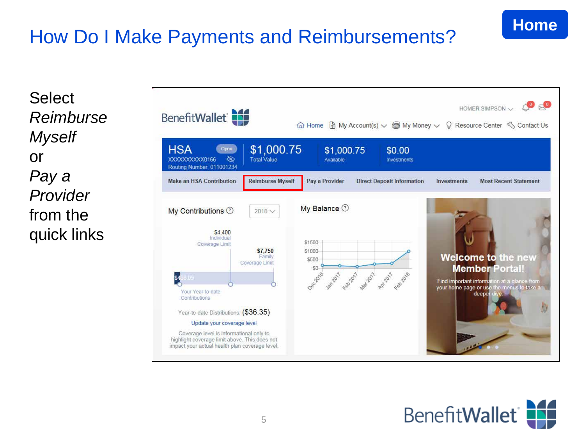# How Do I Make Payments and Reimbursements?

Select *Reimburse Myself*  or *Pay a Provider*  from the quick links



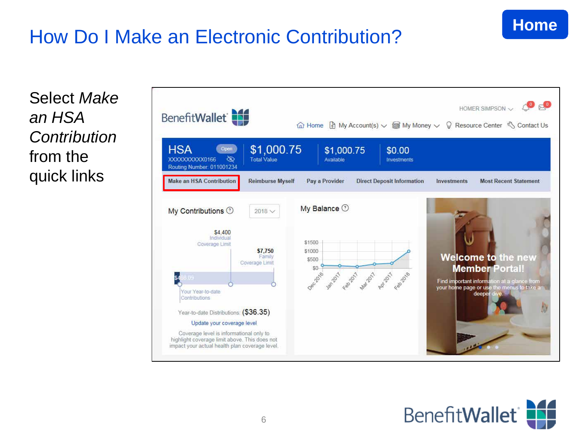# How Do I Make an Electronic Contribution?



Select *Make an HSA Contribution*  from the quick links



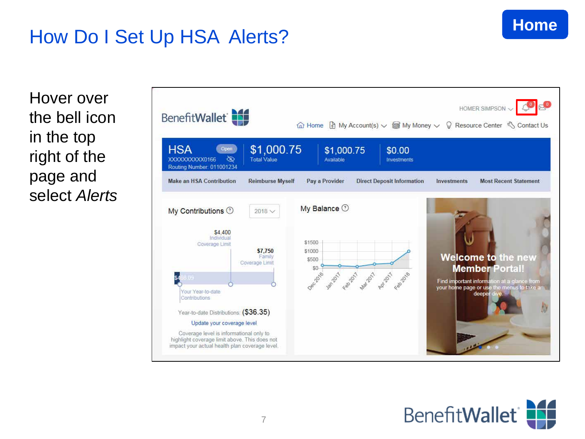# How Do I Set Up HSA Alerts?

Hover over the bell icon in the top right of the page and select *Alerts*



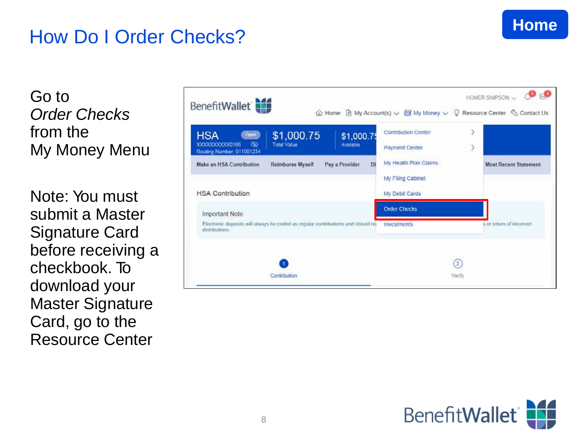### **Home**

## How Do I Order Checks?

Go to *<u>Order</u> Checks* from the My Money Menu

N ote: You mu st s ubmit a Master Signature C ard before receiving a c h e c k book. To do wnload your Ma ster Signature Ca rd, go to the Resource Center

| My Health Plan Claims<br>Di<br>Make an HSA Contribution<br>Reimburse Myself<br>Pay a Provider<br><b>Most Recent Statement</b><br>My Filing Cabinet<br><b>HSA Contribution</b><br>My Debit Cards |  |
|-------------------------------------------------------------------------------------------------------------------------------------------------------------------------------------------------|--|
|                                                                                                                                                                                                 |  |
|                                                                                                                                                                                                 |  |
|                                                                                                                                                                                                 |  |
| <b>Order Checks</b><br><b>Important Note</b>                                                                                                                                                    |  |
| Electronic deposits will always be coded as regular contributions and should no<br>s or return of incorrect<br><b>Investments</b><br>dednbutions.                                               |  |

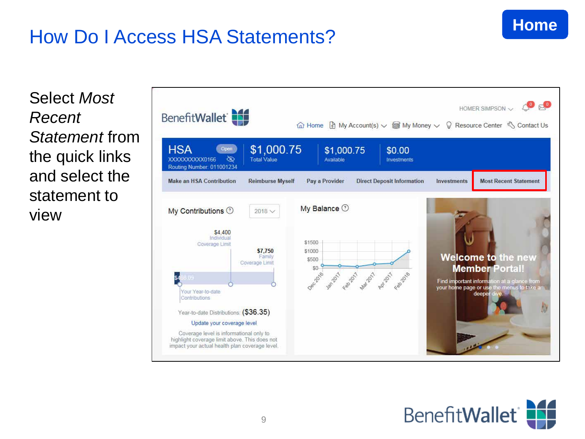## How Do I Access HSA Statements?

Select *Most Recent Statement* from the quick links and select the statement to view



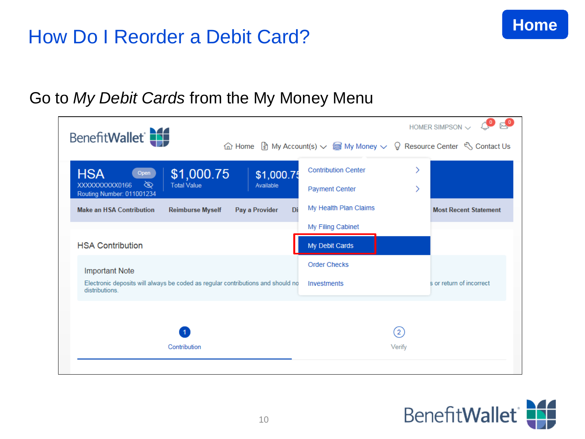### How Do I Reorder a Debit Card?



#### Go to *My Debit Cards* from the My Money Menu

| BenefitWallet                                                                                                              |                                    | $\bullet$<br>HOMER SIMPSON $\sim$<br>$\hat{\omega}$ Home $\hat{\xi}$ My Account(s) $\sim$ $\hat{\xi}$ My Money $\sim$ $\theta$ Resource Center $\hat{\zeta}$ Contact Us |                             |                              |
|----------------------------------------------------------------------------------------------------------------------------|------------------------------------|-------------------------------------------------------------------------------------------------------------------------------------------------------------------------|-----------------------------|------------------------------|
| <b>HSA</b><br>\$1,000.75<br>Open<br>জ<br>XXXXXXXXXX0166<br><b>Total Value</b>                                              | \$1,000.75<br>Available            | <b>Contribution Center</b><br><b>Payment Center</b>                                                                                                                     |                             |                              |
| Routing Number: 011001234<br><b>Make an HSA Contribution</b><br><b>Reimburse Myself</b>                                    | Pay a Provider<br>Di               | My Health Plan Claims                                                                                                                                                   |                             | <b>Most Recent Statement</b> |
| <b>HSA Contribution</b>                                                                                                    |                                    | My Filing Cabinet<br>My Debit Cards                                                                                                                                     |                             |                              |
| <b>Important Note</b><br>Electronic deposits will always be coded as regular contributions and should no<br>distributions. | <b>Order Checks</b><br>Investments |                                                                                                                                                                         | s or return of incorrect    |                              |
| Contribution                                                                                                               |                                    |                                                                                                                                                                         | $\left( 2\right)$<br>Verify |                              |
|                                                                                                                            |                                    |                                                                                                                                                                         |                             |                              |

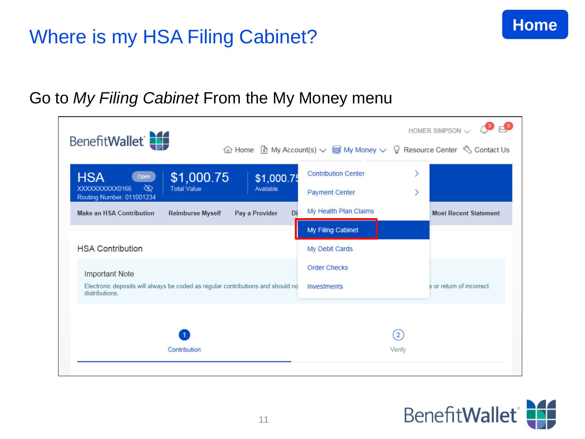## Where is my HSA Filing Cabinet?



#### Go to *My Filing Cabinet* From the My Money menu

| BenefitWallet                                                                                     |                                                                                                                                                 |                   | $E_{\odot}$<br>HOMER SIMPSON $\vee$ |
|---------------------------------------------------------------------------------------------------|-------------------------------------------------------------------------------------------------------------------------------------------------|-------------------|-------------------------------------|
|                                                                                                   | $\hat{\omega}$ Home $\hat{\xi}$ My Account(s) $\sim$ $\hat{\mathbb{S}}$ My Money $\sim$ $\hat{\theta}$ Resource Center $\hat{\zeta}$ Contact Us |                   |                                     |
| <b>HSA</b><br>\$1,000.75<br>\$1,000.75<br>Open                                                    | <b>Contribution Center</b>                                                                                                                      |                   |                                     |
| ▧<br><b>Total Value</b><br>XXXXXXXXXX0166<br>Available<br>Routing Number: 011001234               | <b>Payment Center</b>                                                                                                                           |                   |                                     |
| <b>Make an HSA Contribution</b><br><b>Reimburse Myself</b><br>Pay a Provider<br>Di                | My Health Plan Claims                                                                                                                           |                   | <b>Most Recent Statement</b>        |
|                                                                                                   | My Filing Cabinet                                                                                                                               |                   |                                     |
| <b>HSA Contribution</b>                                                                           | My Debit Cards                                                                                                                                  |                   |                                     |
| <b>Important Note</b>                                                                             | <b>Order Checks</b>                                                                                                                             |                   |                                     |
| Electronic deposits will always be coded as regular contributions and should no<br>distributions. | Investments                                                                                                                                     |                   | s or return of incorrect            |
|                                                                                                   |                                                                                                                                                 |                   |                                     |
|                                                                                                   |                                                                                                                                                 | $\left( 2\right)$ |                                     |
| Contribution                                                                                      |                                                                                                                                                 | Verify            |                                     |
|                                                                                                   |                                                                                                                                                 |                   |                                     |

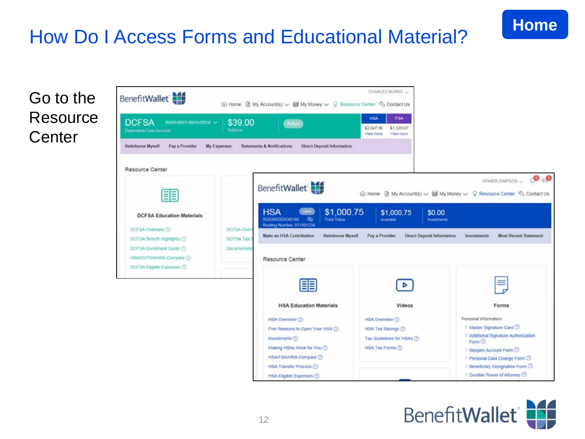# How Do I Access Forms and Educational Material?

#### Go to the Resource **Center**



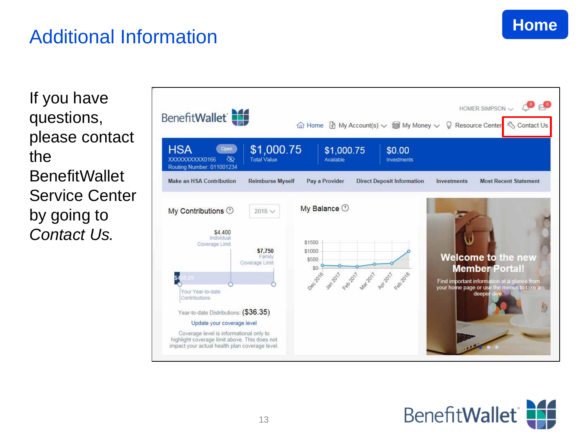### Additional Information

If you have questions, please contact the **BenefitWallet** Service Center by going to *Contact Us.*